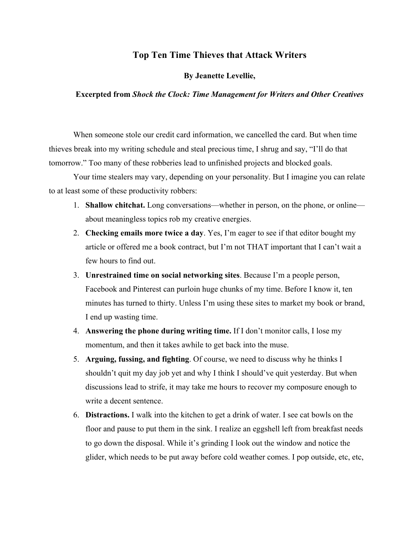## **Top Ten Time Thieves that Attack Writers**

## **By Jeanette Levellie,**

## **Excerpted from** *Shock the Clock: Time Management for Writers and Other Creatives*

When someone stole our credit card information, we cancelled the card. But when time thieves break into my writing schedule and steal precious time, I shrug and say, "I'll do that tomorrow." Too many of these robberies lead to unfinished projects and blocked goals.

Your time stealers may vary, depending on your personality. But I imagine you can relate to at least some of these productivity robbers:

- 1. **Shallow chitchat.** Long conversations—whether in person, on the phone, or online about meaningless topics rob my creative energies.
- 2. **Checking emails more twice a day**. Yes, I'm eager to see if that editor bought my article or offered me a book contract, but I'm not THAT important that I can't wait a few hours to find out.
- 3. **Unrestrained time on social networking sites**. Because I'm a people person, Facebook and Pinterest can purloin huge chunks of my time. Before I know it, ten minutes has turned to thirty. Unless I'm using these sites to market my book or brand, I end up wasting time.
- 4. **Answering the phone during writing time.** If I don't monitor calls, I lose my momentum, and then it takes awhile to get back into the muse.
- 5. **Arguing, fussing, and fighting**. Of course, we need to discuss why he thinks I shouldn't quit my day job yet and why I think I should've quit yesterday. But when discussions lead to strife, it may take me hours to recover my composure enough to write a decent sentence.
- 6. **Distractions.** I walk into the kitchen to get a drink of water. I see cat bowls on the floor and pause to put them in the sink. I realize an eggshell left from breakfast needs to go down the disposal. While it's grinding I look out the window and notice the glider, which needs to be put away before cold weather comes. I pop outside, etc, etc,